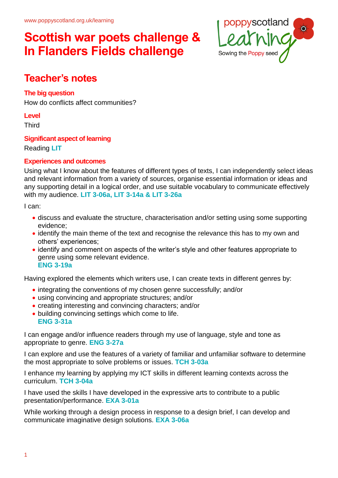

### **Teacher's notes**

### **The big question**

How do conflicts affect communities?

#### **Level**

**Third** 

#### **Significant aspect of learning**

Reading **LIT**

### **Experiences and outcomes**

Using what I know about the features of different types of texts, I can independently select ideas and relevant information from a variety of sources, organise essential information or ideas and any supporting detail in a logical order, and use suitable vocabulary to communicate effectively with my audience. **LIT 3-06a, LIT 3-14a & LIT 3-26a**

I can:

- discuss and evaluate the structure, characterisation and/or setting using some supporting evidence;
- identify the main theme of the text and recognise the relevance this has to my own and others' experiences;
- identify and comment on aspects of the writer's style and other features appropriate to genre using some relevant evidence. **ENG 3-19a**

Having explored the elements which writers use, I can create texts in different genres by:

- integrating the conventions of my chosen genre successfully; and/or
- using convincing and appropriate structures; and/or
- creating interesting and convincing characters; and/or
- building convincing settings which come to life. **ENG 3-31a**

I can engage and/or influence readers through my use of language, style and tone as appropriate to genre. **ENG 3-27a**

I can explore and use the features of a variety of familiar and unfamiliar software to determine the most appropriate to solve problems or issues. **TCH 3-03a**

I enhance my learning by applying my ICT skills in different learning contexts across the curriculum. **TCH 3-04a**

I have used the skills I have developed in the expressive arts to contribute to a public presentation/performance. **EXA 3-01a**

While working through a design process in response to a design brief, I can develop and communicate imaginative design solutions. **EXA 3-06a**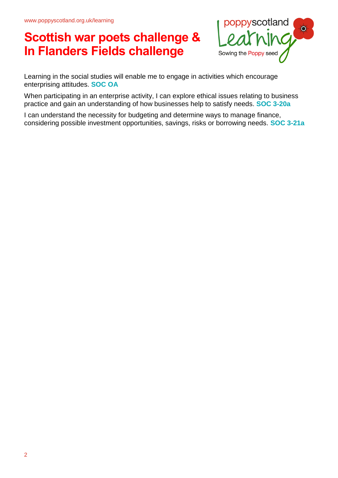

Learning in the social studies will enable me to engage in activities which encourage enterprising attitudes. **SOC OA**

When participating in an enterprise activity, I can explore ethical issues relating to business practice and gain an understanding of how businesses help to satisfy needs. **SOC 3-20a**

I can understand the necessity for budgeting and determine ways to manage finance, considering possible investment opportunities, savings, risks or borrowing needs. **SOC 3-21a**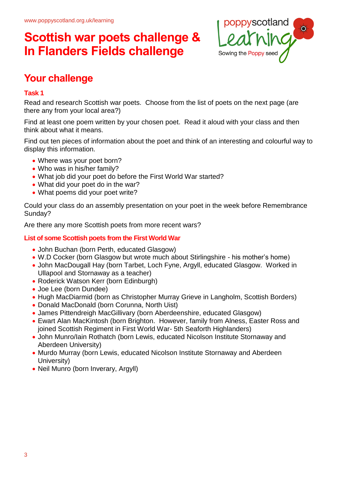

### **Your challenge**

### **Task 1**

Read and research Scottish war poets. Choose from the list of poets on the next page (are there any from your local area?)

Find at least one poem written by your chosen poet. Read it aloud with your class and then think about what it means.

Find out ten pieces of information about the poet and think of an interesting and colourful way to display this information.

- Where was your poet born?
- Who was in his/her family?
- What job did your poet do before the First World War started?
- What did your poet do in the war?
- What poems did your poet write?

Could your class do an assembly presentation on your poet in the week before Remembrance Sunday?

Are there any more Scottish poets from more recent wars?

### **List of some Scottish poets from the First World War**

- John Buchan (born Perth, educated Glasgow)
- W.D Cocker (born Glasgow but wrote much about Stirlingshire his mother's home)
- John MacDougall Hay (born Tarbet, Loch Fyne, Argyll, educated Glasgow. Worked in Ullapool and Stornaway as a teacher)
- Roderick Watson Kerr (born Edinburgh)
- Joe Lee (born Dundee)
- Hugh MacDiarmid (born as Christopher Murray Grieve in Langholm, Scottish Borders)
- Donald MacDonald (born Corunna, North Uist)
- James Pittendreigh MacGillivary (born Aberdeenshire, educated Glasgow)
- Ewart Alan MacKintosh (born Brighton. However, family from Alness, Easter Ross and joined Scottish Regiment in First World War- 5th Seaforth Highlanders)
- John Munro/Iain Rothatch (born Lewis, educated Nicolson Institute Stornaway and Aberdeen University)
- Murdo Murray (born Lewis, educated Nicolson Institute Stornaway and Aberdeen University)
- Neil Munro (born Inverary, Argyll)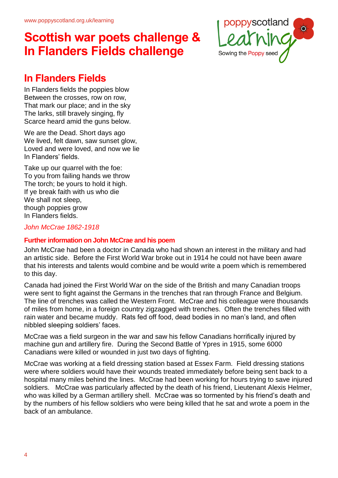

### **In Flanders Fields**

In Flanders fields the poppies blow Between the crosses, row on row, That mark our place; and in the sky The larks, still bravely singing, fly Scarce heard amid the guns below.

We are the Dead. Short days ago We lived, felt dawn, saw sunset glow, Loved and were loved, and now we lie In Flanders' fields.

Take up our quarrel with the foe: To you from failing hands we throw The torch; be yours to hold it high. If ye break faith with us who die We shall not sleep. though poppies grow In Flanders fields.

*John McCrae 1862-1918*

#### **Further information on John McCrae and his poem**

John McCrae had been a doctor in Canada who had shown an interest in the military and had an artistic side. Before the First World War broke out in 1914 he could not have been aware that his interests and talents would combine and be would write a poem which is remembered to this day.

Canada had joined the First World War on the side of the British and many Canadian troops were sent to fight against the Germans in the trenches that ran through France and Belgium. The line of trenches was called the Western Front. McCrae and his colleague were thousands of miles from home, in a foreign country zigzagged with trenches. Often the trenches filled with rain water and became muddy. Rats fed off food, dead bodies in no man's land, and often nibbled sleeping soldiers' faces.

McCrae was a field surgeon in the war and saw his fellow Canadians horrifically injured by machine gun and artillery fire. During the Second Battle of Ypres in 1915, some 6000 Canadians were killed or wounded in just two days of fighting.

McCrae was working at a field dressing station based at Essex Farm. Field dressing stations were where soldiers would have their wounds treated immediately before being sent back to a hospital many miles behind the lines. McCrae had been working for hours trying to save injured soldiers. McCrae was particularly affected by the death of his friend, Lieutenant Alexis Helmer, who was killed by a German artillery shell. McCrae was so tormented by his friend's death and by the numbers of his fellow soldiers who were being killed that he sat and wrote a poem in the back of an ambulance.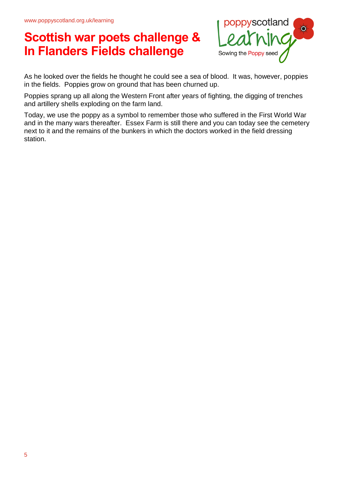

As he looked over the fields he thought he could see a sea of blood. It was, however, poppies in the fields. Poppies grow on ground that has been churned up.

Poppies sprang up all along the Western Front after years of fighting, the digging of trenches and artillery shells exploding on the farm land.

Today, we use the poppy as a symbol to remember those who suffered in the First World War and in the many wars thereafter. Essex Farm is still there and you can today see the cemetery next to it and the remains of the bunkers in which the doctors worked in the field dressing station.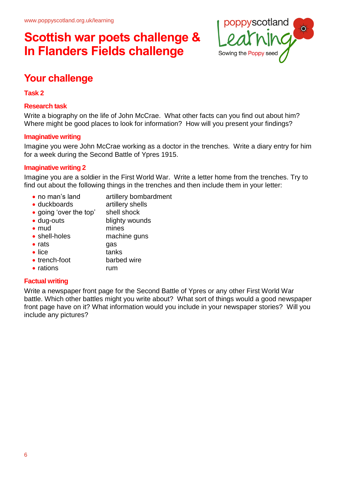

### **Your challenge**

#### **Task 2**

#### **Research task**

Write a biography on the life of John McCrae. What other facts can you find out about him? Where might be good places to look for information? How will you present your findings?

#### **Imaginative writing**

Imagine you were John McCrae working as a doctor in the trenches. Write a diary entry for him for a week during the Second Battle of Ypres 1915.

#### **Imaginative writing 2**

Imagine you are a soldier in the First World War. Write a letter home from the trenches. Try to find out about the following things in the trenches and then include them in your letter:

- no man's land artillery bombardment
- duckboards artillery shells
- going 'over the top' shell shock
- dug-outs blighty wounds
- mud mines • shell-holes machine guns
- rats gas
- lice tanks
- 
- trench-foot barbed wire
- rations **rum**

### **Factual writing**

Write a newspaper front page for the Second Battle of Ypres or any other First World War battle. Which other battles might you write about? What sort of things would a good newspaper front page have on it? What information would you include in your newspaper stories? Will you include any pictures?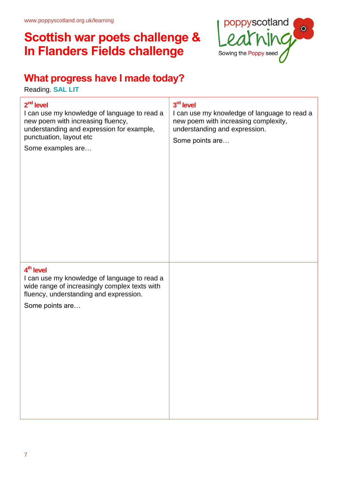

### **What progress have I made today?**

Reading. **SAL LIT**

| 2 <sup>nd</sup> level<br>I can use my knowledge of language to read a<br>new poem with increasing fluency,<br>understanding and expression for example,<br>punctuation, layout etc<br>Some examples are | 3 <sup>rd</sup> level<br>I can use my knowledge of language to read a<br>new poem with increasing complexity,<br>understanding and expression.<br>Some points are |
|---------------------------------------------------------------------------------------------------------------------------------------------------------------------------------------------------------|-------------------------------------------------------------------------------------------------------------------------------------------------------------------|
| 4 <sup>th</sup> level<br>I can use my knowledge of language to read a<br>wide range of increasingly complex texts with<br>fluency, understanding and expression.<br>Some points are                     |                                                                                                                                                                   |